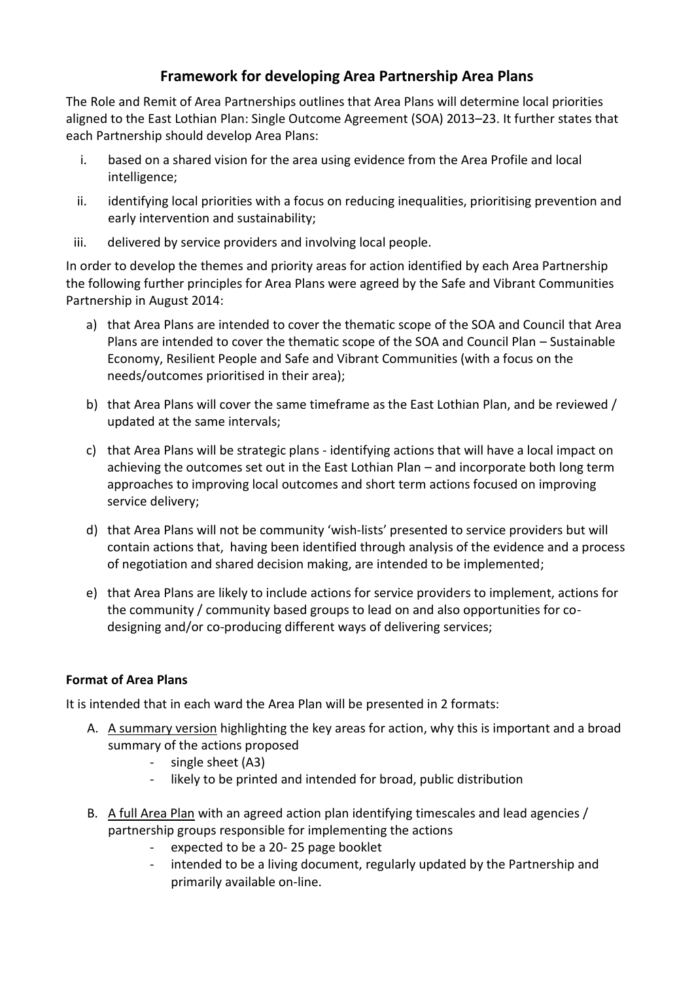## **Framework for developing Area Partnership Area Plans**

The Role and Remit of Area Partnerships outlines that Area Plans will determine local priorities aligned to the East Lothian Plan: Single Outcome Agreement (SOA) 2013–23. It further states that each Partnership should develop Area Plans:

- i. based on a shared vision for the area using evidence from the Area Profile and local intelligence;
- ii. identifying local priorities with a focus on reducing inequalities, prioritising prevention and early intervention and sustainability;
- iii. delivered by service providers and involving local people.

In order to develop the themes and priority areas for action identified by each Area Partnership the following further principles for Area Plans were agreed by the Safe and Vibrant Communities Partnership in August 2014:

- a) that Area Plans are intended to cover the thematic scope of the SOA and Council that Area Plans are intended to cover the thematic scope of the SOA and Council Plan – Sustainable Economy, Resilient People and Safe and Vibrant Communities (with a focus on the needs/outcomes prioritised in their area);
- b) that Area Plans will cover the same timeframe as the East Lothian Plan, and be reviewed / updated at the same intervals;
- c) that Area Plans will be strategic plans identifying actions that will have a local impact on achieving the outcomes set out in the East Lothian Plan – and incorporate both long term approaches to improving local outcomes and short term actions focused on improving service delivery;
- d) that Area Plans will not be community 'wish-lists' presented to service providers but will contain actions that, having been identified through analysis of the evidence and a process of negotiation and shared decision making, are intended to be implemented;
- e) that Area Plans are likely to include actions for service providers to implement, actions for the community / community based groups to lead on and also opportunities for codesigning and/or co-producing different ways of delivering services;

## **Format of Area Plans**

It is intended that in each ward the Area Plan will be presented in 2 formats:

- A. A summary version highlighting the key areas for action, why this is important and a broad summary of the actions proposed
	- single sheet (A3)
	- likely to be printed and intended for broad, public distribution
- B. A full Area Plan with an agreed action plan identifying timescales and lead agencies / partnership groups responsible for implementing the actions
	- expected to be a 20- 25 page booklet
	- intended to be a living document, regularly updated by the Partnership and primarily available on-line.